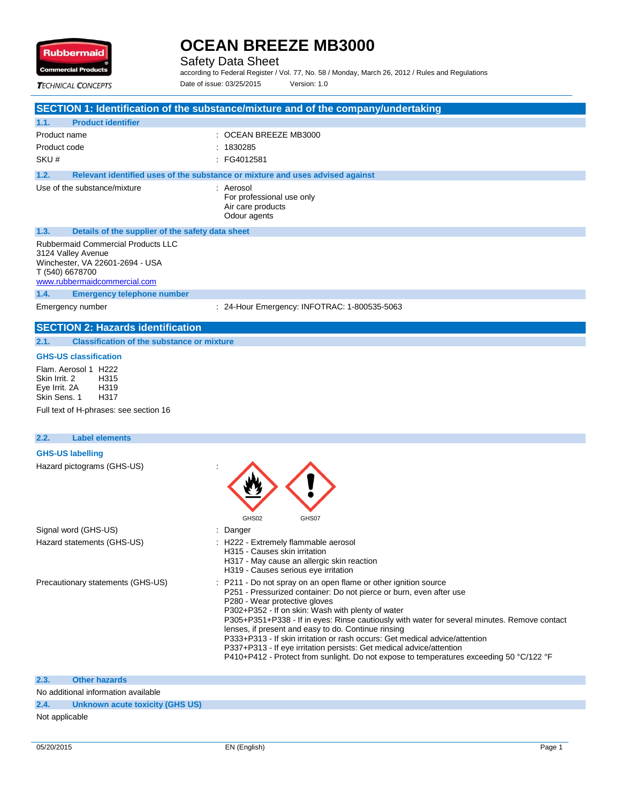

Safety Data Sheet

according to Federal Register / Vol. 77, No. 58 / Monday, March 26, 2012 / Rules and Regulations Date of issue: 03/25/2015 Version: 1.0

**TECHNICAL CONCEPTS** 

| <b>ILLANCAL LUNCEPIS</b>                                                                                                                       |                                                                                   |
|------------------------------------------------------------------------------------------------------------------------------------------------|-----------------------------------------------------------------------------------|
|                                                                                                                                                | SECTION 1: Identification of the substance/mixture and of the company/undertaking |
| <b>Product identifier</b><br>1.1.                                                                                                              |                                                                                   |
| Product name                                                                                                                                   | $\therefore$ OCEAN BREEZE MB3000                                                  |
| Product code                                                                                                                                   | : 1830285                                                                         |
| SKU#                                                                                                                                           | : FG4012581                                                                       |
| 1.2.                                                                                                                                           | Relevant identified uses of the substance or mixture and uses advised against     |
| Use of the substance/mixture                                                                                                                   | : Aerosol<br>For professional use only<br>Air care products<br>Odour agents       |
| 1.3.<br>Details of the supplier of the safety data sheet                                                                                       |                                                                                   |
| Rubbermaid Commercial Products LLC<br>3124 Valley Avenue<br>Winchester, VA 22601-2694 - USA<br>T (540) 6678700<br>www.rubbermaidcommercial.com |                                                                                   |
| 1.4.<br><b>Emergency telephone number</b>                                                                                                      |                                                                                   |
| Emergency number                                                                                                                               | : 24-Hour Emergency: INFOTRAC: 1-800535-5063                                      |
| <b>SECTION 2: Hazards identification</b>                                                                                                       |                                                                                   |
| <b>Classification of the substance or mixture</b><br>2.1.                                                                                      |                                                                                   |
|                                                                                                                                                |                                                                                   |

### **GHS-US classification**

Flam. Aerosol 1 H222<br>Skin Irrit. 2 H315 Skin Irrit. 2 Eye Irrit. 2A H319<br>Skin Sens. 1 H317 Skin Sens. 1

Full text of H-phrases: see section 16

| <b>Label elements</b><br>2.2.     |                                                                                                                                                                                                                                                                                                                                                                                                                                                                                                                                                                                                                                       |
|-----------------------------------|---------------------------------------------------------------------------------------------------------------------------------------------------------------------------------------------------------------------------------------------------------------------------------------------------------------------------------------------------------------------------------------------------------------------------------------------------------------------------------------------------------------------------------------------------------------------------------------------------------------------------------------|
| <b>GHS-US labelling</b>           |                                                                                                                                                                                                                                                                                                                                                                                                                                                                                                                                                                                                                                       |
| Hazard pictograms (GHS-US)        | GHS02<br>GHS07                                                                                                                                                                                                                                                                                                                                                                                                                                                                                                                                                                                                                        |
| Signal word (GHS-US)              | : Danger                                                                                                                                                                                                                                                                                                                                                                                                                                                                                                                                                                                                                              |
| Hazard statements (GHS-US)        | : H222 - Extremely flammable aerosol<br>H315 - Causes skin irritation<br>H317 - May cause an allergic skin reaction<br>H319 - Causes serious eye irritation                                                                                                                                                                                                                                                                                                                                                                                                                                                                           |
| Precautionary statements (GHS-US) | : P211 - Do not spray on an open flame or other ignition source<br>P251 - Pressurized container: Do not pierce or burn, even after use<br>P280 - Wear protective gloves<br>P302+P352 - If on skin: Wash with plenty of water<br>P305+P351+P338 - If in eyes: Rinse cautiously with water for several minutes. Remove contact<br>lenses, if present and easy to do. Continue rinsing<br>P333+P313 - If skin irritation or rash occurs: Get medical advice/attention<br>P337+P313 - If eye irritation persists: Get medical advice/attention<br>P410+P412 - Protect from sunlight. Do not expose to temperatures exceeding 50 °C/122 °F |

#### **2.3. Other hazards**

No additional information available

#### **2.4. Unknown acute toxicity (GHS US)**

Not applicable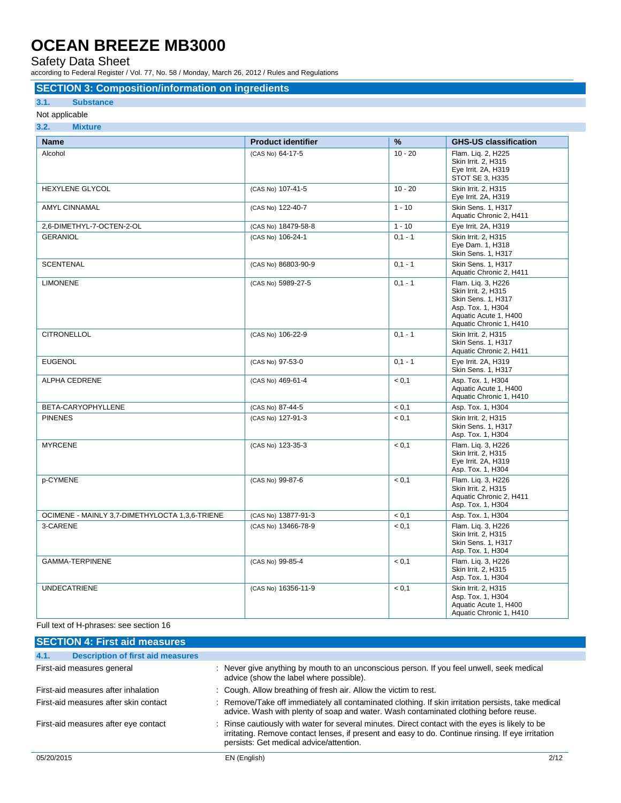Safety Data Sheet

according to Federal Register / Vol. 77, No. 58 / Monday, March 26, 2012 / Rules and Regulations

#### **SECTION 3: Composition/information on ingredients**

#### **3.1. Substance**

#### Not applicable

| <b>Name</b>                                    | <b>Product identifier</b> | %         | <b>GHS-US classification</b>                                                                                                                    |
|------------------------------------------------|---------------------------|-----------|-------------------------------------------------------------------------------------------------------------------------------------------------|
| Alcohol                                        | (CAS No) 64-17-5          | $10 - 20$ | Flam. Liq. 2, H225<br>Skin Irrit. 2, H315<br>Eye Irrit. 2A, H319<br>STOT SE 3, H335                                                             |
| <b>HEXYLENE GLYCOL</b>                         | (CAS No) 107-41-5         | $10 - 20$ | Skin Irrit. 2. H315<br>Eye Irrit. 2A, H319                                                                                                      |
| <b>AMYL CINNAMAL</b>                           | (CAS No) 122-40-7         | $1 - 10$  | Skin Sens. 1, H317<br>Aquatic Chronic 2, H411                                                                                                   |
| 2,6-DIMETHYL-7-OCTEN-2-OL                      | (CAS No) 18479-58-8       | $1 - 10$  | Eye Irrit. 2A, H319                                                                                                                             |
| <b>GERANIOL</b>                                | (CAS No) 106-24-1         | $0.1 - 1$ | Skin Irrit. 2, H315<br>Eye Dam. 1, H318<br>Skin Sens. 1, H317                                                                                   |
| <b>SCENTENAL</b>                               | (CAS No) 86803-90-9       | $0,1 - 1$ | Skin Sens. 1, H317<br>Aquatic Chronic 2, H411                                                                                                   |
| <b>LIMONENE</b>                                | (CAS No) 5989-27-5        | $0,1 - 1$ | Flam. Liq. 3, H226<br>Skin Irrit. 2, H315<br><b>Skin Sens. 1. H317</b><br>Asp. Tox. 1, H304<br>Aquatic Acute 1, H400<br>Aquatic Chronic 1, H410 |
| <b>CITRONELLOL</b>                             | (CAS No) 106-22-9         | $0,1 - 1$ | Skin Irrit. 2, H315<br>Skin Sens. 1, H317<br>Aquatic Chronic 2, H411                                                                            |
| <b>EUGENOL</b>                                 | (CAS No) 97-53-0          | $0,1 - 1$ | Eye Irrit. 2A, H319<br>Skin Sens. 1, H317                                                                                                       |
| <b>ALPHA CEDRENE</b>                           | (CAS No) 469-61-4         | < 0,1     | Asp. Tox. 1, H304<br>Aquatic Acute 1, H400<br>Aquatic Chronic 1, H410                                                                           |
| BETA-CARYOPHYLLENE                             | (CAS No) 87-44-5          | < 0.1     | Asp. Tox. 1, H304                                                                                                                               |
| <b>PINENES</b>                                 | (CAS No) 127-91-3         | < 0.1     | Skin Irrit. 2. H315<br><b>Skin Sens. 1. H317</b><br>Asp. Tox. 1, H304                                                                           |
| <b>MYRCENE</b>                                 | (CAS No) 123-35-3         | < 0.1     | Flam. Liq. 3, H226<br>Skin Irrit. 2, H315<br>Eye Irrit. 2A, H319<br>Asp. Tox. 1, H304                                                           |
| p-CYMENE                                       | (CAS No) 99-87-6          | < 0,1     | Flam. Liq. 3, H226<br>Skin Irrit. 2, H315<br>Aquatic Chronic 2, H411<br>Asp. Tox. 1, H304                                                       |
| OCIMENE - MAINLY 3,7-DIMETHYLOCTA 1,3,6-TRIENE | (CAS No) 13877-91-3       | < 0.1     | Asp. Tox. 1, H304                                                                                                                               |
| 3-CARENE                                       | (CAS No) 13466-78-9       | < 0.1     | Flam. Liq. 3, H226<br>Skin Irrit. 2, H315<br>Skin Sens. 1, H317<br>Asp. Tox. 1, H304                                                            |
| <b>GAMMA-TERPINENE</b>                         | (CAS No) 99-85-4          | < 0,1     | Flam. Liq. 3, H226<br>Skin Irrit. 2, H315<br>Asp. Tox. 1, H304                                                                                  |
| <b>UNDECATRIENE</b>                            | (CAS No) 16356-11-9       | < 0.1     | Skin Irrit. 2, H315<br>Asp. Tox. 1, H304<br>Aquatic Acute 1, H400<br>Aquatic Chronic 1, H410                                                    |

Full text of H-phrases: see section 16

| <b>SECTION 4: First aid measures</b>             |                                                                                                                                                                                                                                                 |      |
|--------------------------------------------------|-------------------------------------------------------------------------------------------------------------------------------------------------------------------------------------------------------------------------------------------------|------|
| 4.1.<br><b>Description of first aid measures</b> |                                                                                                                                                                                                                                                 |      |
| First-aid measures general                       | : Never give anything by mouth to an unconscious person. If you feel unwell, seek medical<br>advice (show the label where possible).                                                                                                            |      |
| First-aid measures after inhalation              | : Cough. Allow breathing of fresh air. Allow the victim to rest.                                                                                                                                                                                |      |
| First-aid measures after skin contact            | : Remove/Take off immediately all contaminated clothing. If skin irritation persists, take medical<br>advice. Wash with plenty of soap and water. Wash contaminated clothing before reuse.                                                      |      |
| First-aid measures after eye contact             | : Rinse cautiously with water for several minutes. Direct contact with the eyes is likely to be<br>irritating. Remove contact lenses, if present and easy to do. Continue rinsing. If eye irritation<br>persists: Get medical advice/attention. |      |
| 05/20/2015                                       | EN (English)                                                                                                                                                                                                                                    | 2/12 |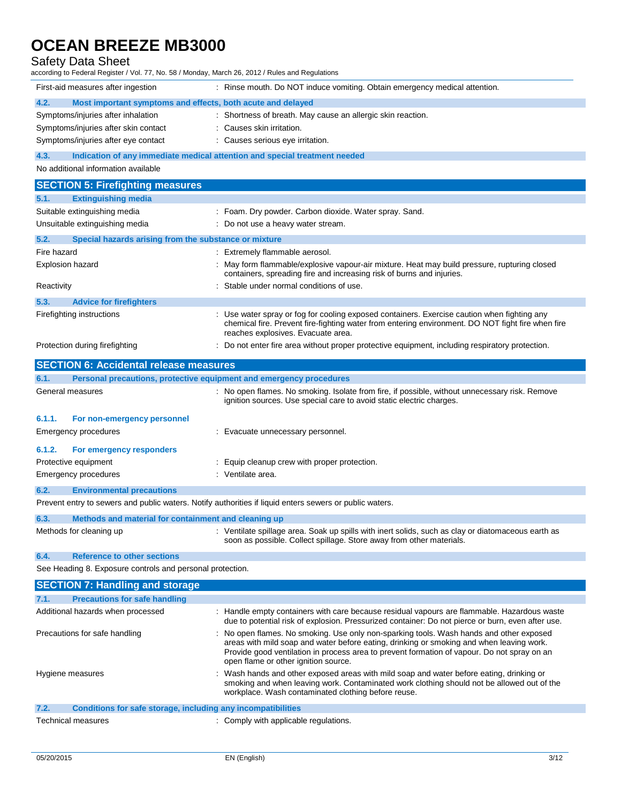### Safety Data Sheet

| according to Federal Register / Vol. 77, No. 58 / Monday, March 26, 2012 / Rules and Regulations |                                                                                                                                                                                                                                      |  |
|--------------------------------------------------------------------------------------------------|--------------------------------------------------------------------------------------------------------------------------------------------------------------------------------------------------------------------------------------|--|
| First-aid measures after ingestion                                                               | : Rinse mouth. Do NOT induce vomiting. Obtain emergency medical attention.                                                                                                                                                           |  |
| 4.2.<br>Most important symptoms and effects, both acute and delayed                              |                                                                                                                                                                                                                                      |  |
| Symptoms/injuries after inhalation                                                               | : Shortness of breath. May cause an allergic skin reaction.                                                                                                                                                                          |  |
| Symptoms/injuries after skin contact                                                             | Causes skin irritation.                                                                                                                                                                                                              |  |
| Symptoms/injuries after eye contact                                                              | : Causes serious eye irritation.                                                                                                                                                                                                     |  |
| Indication of any immediate medical attention and special treatment needed<br>4.3.               |                                                                                                                                                                                                                                      |  |
| No additional information available                                                              |                                                                                                                                                                                                                                      |  |
| <b>SECTION 5: Firefighting measures</b>                                                          |                                                                                                                                                                                                                                      |  |
| 5.1.<br><b>Extinguishing media</b>                                                               |                                                                                                                                                                                                                                      |  |
| Suitable extinguishing media                                                                     | : Foam. Dry powder. Carbon dioxide. Water spray. Sand.                                                                                                                                                                               |  |
| Unsuitable extinguishing media                                                                   | Do not use a heavy water stream.                                                                                                                                                                                                     |  |
| 5.2.<br>Special hazards arising from the substance or mixture                                    |                                                                                                                                                                                                                                      |  |
| Fire hazard                                                                                      | : Extremely flammable aerosol.                                                                                                                                                                                                       |  |
| <b>Explosion hazard</b>                                                                          | May form flammable/explosive vapour-air mixture. Heat may build pressure, rupturing closed<br>containers, spreading fire and increasing risk of burns and injuries.                                                                  |  |
| Reactivity                                                                                       | Stable under normal conditions of use.                                                                                                                                                                                               |  |
| 5.3.<br><b>Advice for firefighters</b>                                                           |                                                                                                                                                                                                                                      |  |
| Firefighting instructions                                                                        | Use water spray or fog for cooling exposed containers. Exercise caution when fighting any<br>chemical fire. Prevent fire-fighting water from entering environment. DO NOT fight fire when fire<br>reaches explosives. Evacuate area. |  |
| Protection during firefighting                                                                   | : Do not enter fire area without proper protective equipment, including respiratory protection.                                                                                                                                      |  |
| <b>SECTION 6: Accidental release measures</b>                                                    |                                                                                                                                                                                                                                      |  |
| 6.1.<br>Personal precautions, protective equipment and emergency procedures                      |                                                                                                                                                                                                                                      |  |
| General measures                                                                                 | : No open flames. No smoking. Isolate from fire, if possible, without unnecessary risk. Remove<br>ignition sources. Use special care to avoid static electric charges.                                                               |  |
| 6.1.1.<br>For non-emergency personnel                                                            |                                                                                                                                                                                                                                      |  |
| Emergency procedures                                                                             | : Evacuate unnecessary personnel.                                                                                                                                                                                                    |  |

|                      | 6.1.2. For emergency responders |  |
|----------------------|---------------------------------|--|
| Protective equipment |                                 |  |
| Emergency procedures |                                 |  |

rgency procedures in the settle state of the state of the ventilate area. **6.2. Environmental precautions**

Prevent entry to sewers and public waters. Notify authorities if liquid enters sewers or public waters.

| 6.3. | Methods and material for containment and cleaning up |  |                                                                                                                                                                          |
|------|------------------------------------------------------|--|--------------------------------------------------------------------------------------------------------------------------------------------------------------------------|
|      | Methods for cleaning up                              |  | Ventilate spillage area. Soak up spills with inert solids, such as clay or diatomaceous earth as<br>soon as possible. Collect spillage. Store away from other materials. |

 $:$  Equip cleanup crew with proper protection.

#### **6.4. Reference to other sections**

See Heading 8. Exposure controls and personal protection.

| <b>SECTION 7: Handling and storage</b>                               |                                                                                                                                                                                                                                                                                                                            |
|----------------------------------------------------------------------|----------------------------------------------------------------------------------------------------------------------------------------------------------------------------------------------------------------------------------------------------------------------------------------------------------------------------|
| 7.1.<br><b>Precautions for safe handling</b>                         |                                                                                                                                                                                                                                                                                                                            |
| Additional hazards when processed                                    | : Handle empty containers with care because residual vapours are flammable. Hazardous waste<br>due to potential risk of explosion. Pressurized container: Do not pierce or burn, even after use.                                                                                                                           |
| Precautions for safe handling                                        | : No open flames. No smoking. Use only non-sparking tools. Wash hands and other exposed<br>areas with mild soap and water before eating, drinking or smoking and when leaving work.<br>Provide good ventilation in process area to prevent formation of vapour. Do not spray on an<br>open flame or other ignition source. |
| Hygiene measures                                                     | : Wash hands and other exposed areas with mild soap and water before eating, drinking or<br>smoking and when leaving work. Contaminated work clothing should not be allowed out of the<br>workplace. Wash contaminated clothing before reuse.                                                                              |
| 7.2.<br>Conditions for safe storage, including any incompatibilities |                                                                                                                                                                                                                                                                                                                            |
| <b>Technical measures</b>                                            | : Comply with applicable regulations.                                                                                                                                                                                                                                                                                      |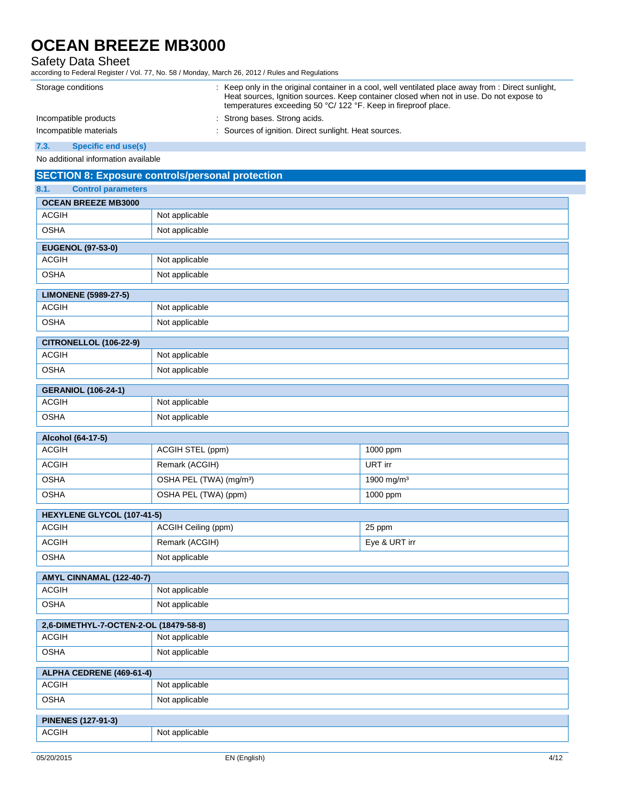### Safety Data Sheet

according to Federal Register / Vol. 77, No. 58 / Monday, March 26, 2012 / Rules and Regulations

| Storage conditions     | : Keep only in the original container in a cool, well ventilated place away from : Direct sunlight,<br>Heat sources, Ignition sources. Keep container closed when not in use. Do not expose to<br>temperatures exceeding 50 °C/ 122 °F. Keep in fireproof place. |
|------------------------|------------------------------------------------------------------------------------------------------------------------------------------------------------------------------------------------------------------------------------------------------------------|
| Incompatible products  | : Strong bases. Strong acids.                                                                                                                                                                                                                                    |
| Incompatible materials | : Sources of ignition. Direct sunlight. Heat sources.                                                                                                                                                                                                            |
|                        |                                                                                                                                                                                                                                                                  |

**7.3. Specific end use(s)**

No additional information available

|                                   | <b>SECTION 8: Exposure controls/personal protection</b> |                        |  |  |
|-----------------------------------|---------------------------------------------------------|------------------------|--|--|
| 8.1.<br><b>Control parameters</b> |                                                         |                        |  |  |
| <b>OCEAN BREEZE MB3000</b>        |                                                         |                        |  |  |
| <b>ACGIH</b>                      | Not applicable                                          |                        |  |  |
| <b>OSHA</b>                       | Not applicable                                          |                        |  |  |
| <b>EUGENOL (97-53-0)</b>          |                                                         |                        |  |  |
| <b>ACGIH</b>                      | Not applicable                                          |                        |  |  |
| <b>OSHA</b>                       | Not applicable                                          |                        |  |  |
| <b>LIMONENE (5989-27-5)</b>       |                                                         |                        |  |  |
| <b>ACGIH</b>                      | Not applicable                                          |                        |  |  |
| <b>OSHA</b>                       | Not applicable                                          |                        |  |  |
| <b>CITRONELLOL (106-22-9)</b>     |                                                         |                        |  |  |
| <b>ACGIH</b>                      | Not applicable                                          |                        |  |  |
| <b>OSHA</b>                       | Not applicable                                          |                        |  |  |
| <b>GERANIOL (106-24-1)</b>        |                                                         |                        |  |  |
| <b>ACGIH</b>                      | Not applicable                                          |                        |  |  |
| <b>OSHA</b>                       | Not applicable                                          |                        |  |  |
| Alcohol (64-17-5)                 |                                                         |                        |  |  |
| <b>ACGIH</b>                      | ACGIH STEL (ppm)                                        | 1000 ppm               |  |  |
| <b>ACGIH</b>                      | Remark (ACGIH)                                          | URT irr                |  |  |
| <b>OSHA</b>                       | OSHA PEL (TWA) (mg/m <sup>3</sup> )                     | 1900 mg/m <sup>3</sup> |  |  |
| <b>OSHA</b>                       | OSHA PEL (TWA) (ppm)                                    | 1000 ppm               |  |  |
| HEXYLENE GLYCOL (107-41-5)        |                                                         |                        |  |  |
| <b>ACGIH</b>                      | ACGIH Ceiling (ppm)                                     | 25 ppm                 |  |  |
| <b>ACGIH</b>                      | Remark (ACGIH)                                          | Eye & URT irr          |  |  |
| <b>OSHA</b>                       | Not applicable                                          |                        |  |  |
| AMYL CINNAMAL (122-40-7)          |                                                         |                        |  |  |
| <b>ACGIH</b>                      | Not applicable                                          |                        |  |  |
| <b>OSHA</b>                       | Not applicable                                          |                        |  |  |
|                                   | 2,6-DIMETHYL-7-OCTEN-2-OL (18479-58-8)                  |                        |  |  |
| ACGIH                             | Not applicable                                          |                        |  |  |
| <b>OSHA</b>                       | Not applicable                                          |                        |  |  |
| ALPHA CEDRENE (469-61-4)          |                                                         |                        |  |  |
| <b>ACGIH</b>                      | Not applicable                                          |                        |  |  |
| <b>OSHA</b>                       | Not applicable                                          |                        |  |  |
| <b>PINENES (127-91-3)</b>         |                                                         |                        |  |  |
| <b>ACGIH</b>                      | Not applicable                                          |                        |  |  |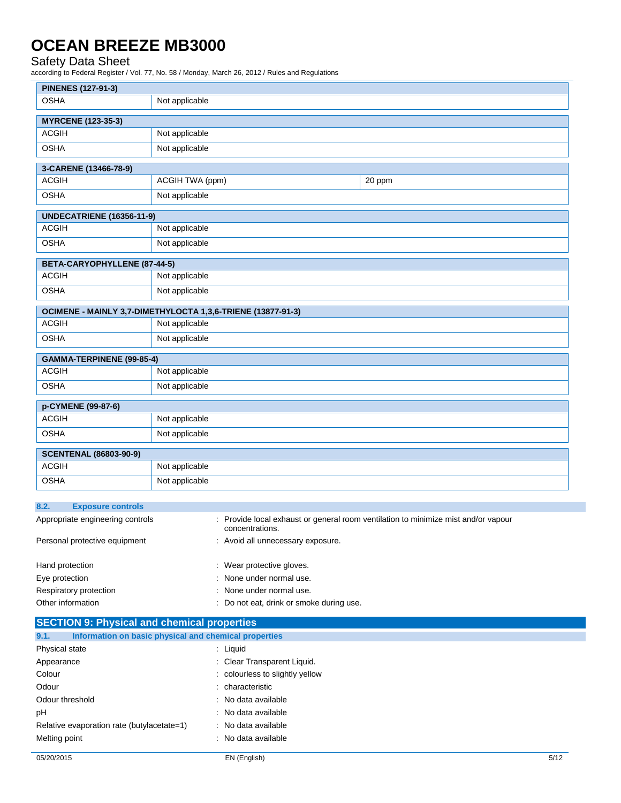### Safety Data Sheet

according to Federal Register / Vol. 77, No. 58 / Monday, March 26, 2012 / Rules and Regulations

| <b>PINENES (127-91-3)</b>        |                                                             |        |
|----------------------------------|-------------------------------------------------------------|--------|
| <b>OSHA</b>                      | Not applicable                                              |        |
| <b>MYRCENE (123-35-3)</b>        |                                                             |        |
| <b>ACGIH</b>                     | Not applicable                                              |        |
| <b>OSHA</b>                      | Not applicable                                              |        |
| 3-CARENE (13466-78-9)            |                                                             |        |
| <b>ACGIH</b>                     | ACGIH TWA (ppm)                                             | 20 ppm |
| <b>OSHA</b>                      | Not applicable                                              |        |
| <b>UNDECATRIENE (16356-11-9)</b> |                                                             |        |
| <b>ACGIH</b>                     | Not applicable                                              |        |
| <b>OSHA</b>                      | Not applicable                                              |        |
| BETA-CARYOPHYLLENE (87-44-5)     |                                                             |        |
| <b>ACGIH</b>                     | Not applicable                                              |        |
| <b>OSHA</b>                      | Not applicable                                              |        |
|                                  | OCIMENE - MAINLY 3,7-DIMETHYLOCTA 1,3,6-TRIENE (13877-91-3) |        |
| <b>ACGIH</b>                     | Not applicable                                              |        |
| <b>OSHA</b>                      | Not applicable                                              |        |
| GAMMA-TERPINENE (99-85-4)        |                                                             |        |
| <b>ACGIH</b>                     | Not applicable                                              |        |
| <b>OSHA</b>                      | Not applicable                                              |        |
| p-CYMENE (99-87-6)               |                                                             |        |
| <b>ACGIH</b>                     | Not applicable                                              |        |
| <b>OSHA</b>                      | Not applicable                                              |        |
| <b>SCENTENAL (86803-90-9)</b>    |                                                             |        |
| <b>ACGIH</b>                     | Not applicable                                              |        |
| <b>OSHA</b>                      | Not applicable                                              |        |

| 8.2.<br><b>Exposure controls</b> |                                                                                                       |
|----------------------------------|-------------------------------------------------------------------------------------------------------|
| Appropriate engineering controls | : Provide local exhaust or general room ventilation to minimize mist and/or vapour<br>concentrations. |
| Personal protective equipment    | : Avoid all unnecessary exposure.                                                                     |
| Hand protection                  | : Wear protective gloves.                                                                             |
| Eye protection                   | : None under normal use.                                                                              |
| Respiratory protection           | : None under normal use.                                                                              |
| Other information                | De pot oot drink er smake during use                                                                  |

| Other information                                             | : Do not eat, drink or smoke during use. |      |
|---------------------------------------------------------------|------------------------------------------|------|
| <b>SECTION 9: Physical and chemical properties</b>            |                                          |      |
| Information on basic physical and chemical properties<br>9.1. |                                          |      |
| Physical state                                                | : Liquid                                 |      |
| Appearance                                                    | : Clear Transparent Liquid.              |      |
| Colour                                                        | : colourless to slightly yellow          |      |
| Odour                                                         | : characteristic                         |      |
| Odour threshold                                               | : No data available                      |      |
| pH                                                            | : No data available                      |      |
| Relative evaporation rate (butylacetate=1)                    | : No data available                      |      |
| Melting point                                                 | : No data available                      |      |
| 05/20/2015                                                    | EN (English)                             | 5/12 |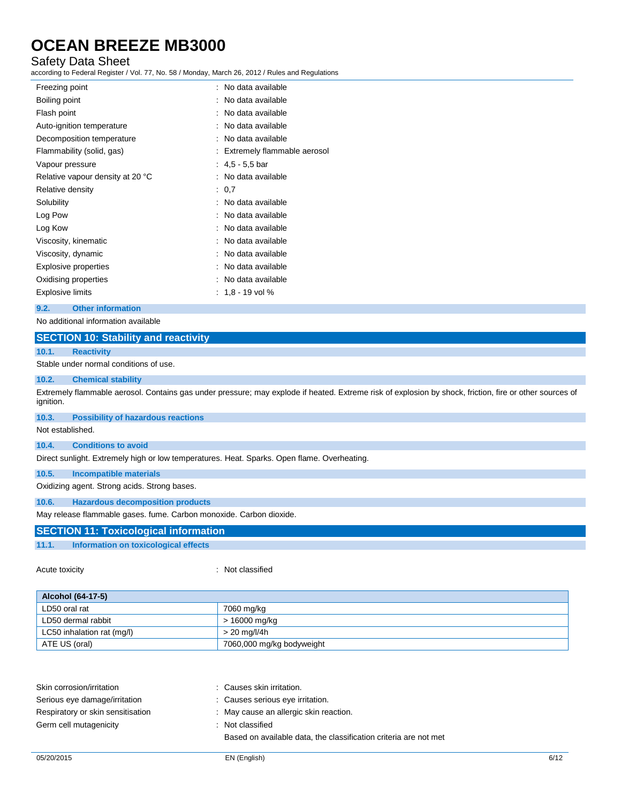### Safety Data Sheet

according to Federal Register / Vol. 77, No. 58 / Monday, March 26, 2012 / Rules and Regulations

| Freezing point                   | : No data available           |
|----------------------------------|-------------------------------|
| Boiling point                    | : No data available           |
| Flash point                      | : No data available           |
| Auto-ignition temperature        | No data available             |
| Decomposition temperature        | : No data available           |
| Flammability (solid, gas)        | : Extremely flammable aerosol |
| Vapour pressure                  | : $4,5 - 5,5$ bar             |
| Relative vapour density at 20 °C | : No data available           |
| Relative density                 | : 0.7                         |
| Solubility                       | No data available             |
| Log Pow                          | : No data available           |
| Log Kow                          | : No data available           |
| Viscosity, kinematic             | : No data available           |
| Viscosity, dynamic               | : No data available           |
| Explosive properties             | : No data available           |
| Oxidising properties             | No data available             |
| Explosive limits                 | $: 1.8 - 19$ vol %            |
|                                  |                               |

#### **9.2. Other information**

No additional information available

#### **SECTION 10: Stability and reactivity**

#### **10.1. Reactivity**

Stable under normal conditions of use.

#### **10.2. Chemical stability**

Extremely flammable aerosol. Contains gas under pressure; may explode if heated. Extreme risk of explosion by shock, friction, fire or other sources of ignition.

#### **10.3. Possibility of hazardous reactions**

Not established.

#### **10.4. Conditions to avoid**

Direct sunlight. Extremely high or low temperatures. Heat. Sparks. Open flame. Overheating.

#### **10.5. Incompatible materials**

Oxidizing agent. Strong acids. Strong bases.

### **10.6. Hazardous decomposition products**

May release flammable gases. fume. Carbon monoxide. Carbon dioxide.

### **SECTION 11: Toxicological information**

#### **11.1. Information on toxicological effects**

#### Acute toxicity in the contract of the contract of the classified in the classified

| Alcohol (64-17-5)          |                           |  |
|----------------------------|---------------------------|--|
| LD50 oral rat              | 7060 mg/kg                |  |
| LD50 dermal rabbit         | > 16000 mg/kg             |  |
| LC50 inhalation rat (mg/l) | > 20 mg/l/4h              |  |
| ATE US (oral)              | 7060,000 mg/kg bodyweight |  |

| Skin corrosion/irritation         | : Causes skin irritation.                                        |
|-----------------------------------|------------------------------------------------------------------|
| Serious eye damage/irritation     | : Causes serious eye irritation.                                 |
| Respiratory or skin sensitisation | : May cause an allergic skin reaction.                           |
| Germ cell mutagenicity            | : Not classified                                                 |
|                                   | Based on available data, the classification criteria are not met |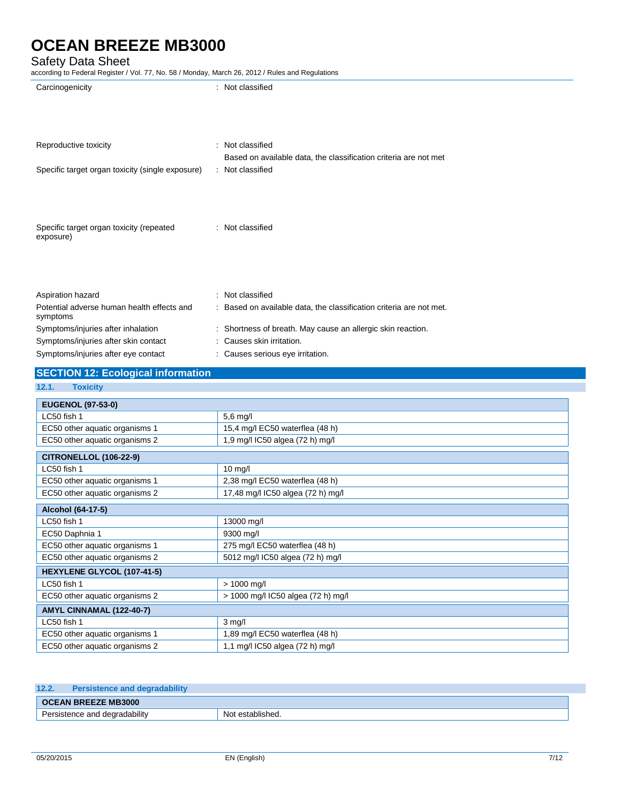### Safety Data Sheet

| Carcinogenicity                                                             | : Not classified                                                                        |
|-----------------------------------------------------------------------------|-----------------------------------------------------------------------------------------|
| Reproductive toxicity                                                       | : Not classified                                                                        |
|                                                                             | Based on available data, the classification criteria are not met                        |
| Specific target organ toxicity (single exposure)                            | : Not classified                                                                        |
| Specific target organ toxicity (repeated<br>exposure)                       | : Not classified                                                                        |
| Aspiration hazard<br>Potential adverse human health effects and<br>symptoms | : Not classified<br>: Based on available data, the classification criteria are not met. |
| Symptoms/injuries after inhalation                                          | : Shortness of breath. May cause an allergic skin reaction.                             |
| Symptoms/injuries after skin contact                                        | : Causes skin irritation.                                                               |
| Symptoms/injuries after eye contact                                         | : Causes serious eye irritation.                                                        |
| <b>SECTION 12: Ecological information</b>                                   |                                                                                         |
| <b>Toxicity</b><br>12.1.                                                    |                                                                                         |
| <b>EUGENOL (97-53-0)</b>                                                    |                                                                                         |
| LC50 fish 1                                                                 | $5.6$ mg/l                                                                              |
| EC50 other aquatic organisms 1                                              | 15,4 mg/l EC50 waterflea (48 h)                                                         |
| EC50 other aquatic organisms 2                                              | 1,9 mg/l IC50 algea (72 h) mg/l                                                         |
| <b>CITRONELLOL (106-22-9)</b>                                               |                                                                                         |
| LC50 fish 1                                                                 | $10$ mg/                                                                                |
| EC50 other aquatic organisms 1                                              | 2,38 mg/l EC50 waterflea (48 h)                                                         |
| EC50 other aquatic organisms 2                                              | 17,48 mg/l IC50 algea (72 h) mg/l                                                       |
| Alcohol (64-17-5)                                                           |                                                                                         |

| Alcohol (64-17-5)              |                                    |  |
|--------------------------------|------------------------------------|--|
| LC50 fish 1                    | 13000 mg/l                         |  |
| EC50 Daphnia 1                 | 9300 mg/l                          |  |
| EC50 other aquatic organisms 1 | 275 mg/l EC50 waterflea (48 h)     |  |
| EC50 other aquatic organisms 2 | 5012 mg/l IC50 algea (72 h) mg/l   |  |
| HEXYLENE GLYCOL (107-41-5)     |                                    |  |
| LC50 fish 1                    | $> 1000$ mg/l                      |  |
| EC50 other aquatic organisms 2 | > 1000 mg/l IC50 algea (72 h) mg/l |  |
| AMYL CINNAMAL (122-40-7)       |                                    |  |
| LC50 fish 1                    | $3 \text{ mq/l}$                   |  |
| EC50 other aquatic organisms 1 | ,89 mg/l EC50 waterflea (48 h)     |  |
| EC50 other aquatic organisms 2 | 1,1 mg/l IC50 algea (72 h) mg/l    |  |

| 12.2.                      | <b>Persistence and degradability</b> |                  |
|----------------------------|--------------------------------------|------------------|
| <b>OCEAN BREEZE MB3000</b> |                                      |                  |
|                            | Persistence and degradability        | Not established. |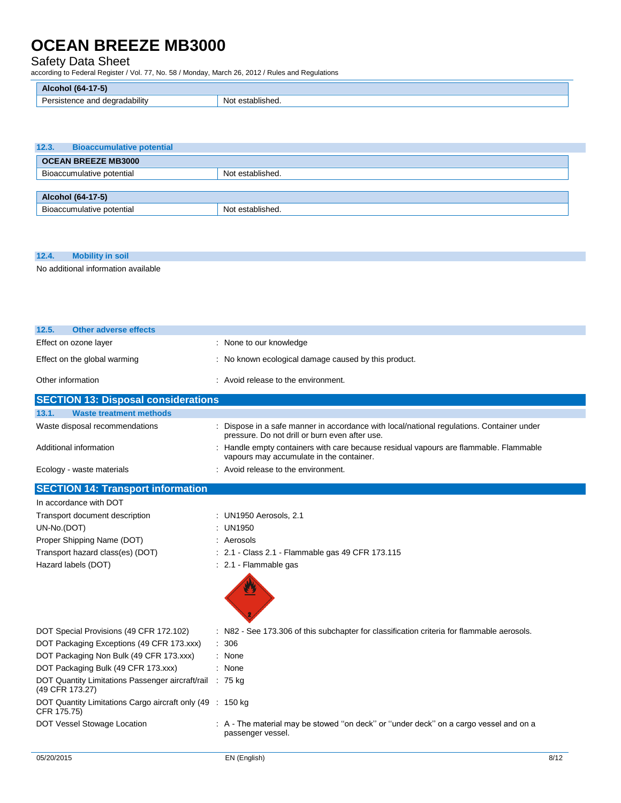### Safety Data Sheet

according to Federal Register / Vol. 77, No. 58 / Monday, March 26, 2012 / Rules and Regulations

| (64<br>Alc<br>.<br>$\sim$                           |                         |
|-----------------------------------------------------|-------------------------|
| .<br>degradability<br>and<br>`nc⊾<br>- 13151<br>ا ب | .<br>Nο<br>established. |

| 12.3.                      | <b>Bioaccumulative potential</b> |                  |  |
|----------------------------|----------------------------------|------------------|--|
| <b>OCEAN BREEZE MB3000</b> |                                  |                  |  |
|                            | Bioaccumulative potential        | Not established. |  |
|                            |                                  |                  |  |
| Alcohol (64-17-5)          |                                  |                  |  |
|                            | Bioaccumulative potential        | Not established. |  |

#### **12.4. Mobility in soil**

No additional information available

| 12.5.<br>Other adverse effects             |                                                      |  |
|--------------------------------------------|------------------------------------------------------|--|
| Effect on ozone layer                      | : None to our knowledge                              |  |
| Effect on the global warming               | : No known ecological damage caused by this product. |  |
| Other information                          | : Avoid release to the environment.                  |  |
| <b>SECTION 13: Disposal considerations</b> |                                                      |  |
| 13.1.<br><b>Waste treatment methods</b>    |                                                      |  |

| .<br>wasis usaunsni msulwas    |                                                                                                                                             |
|--------------------------------|---------------------------------------------------------------------------------------------------------------------------------------------|
| Waste disposal recommendations | : Dispose in a safe manner in accordance with local/national regulations. Container under<br>pressure. Do not drill or burn even after use. |
| Additional information         | : Handle empty containers with care because residual vapours are flammable. Flammable<br>vapours may accumulate in the container.           |
| Ecology - waste materials      | : Avoid release to the environment.                                                                                                         |

| <b>SECTION 14: Transport information</b>                                    |                                                                                                            |
|-----------------------------------------------------------------------------|------------------------------------------------------------------------------------------------------------|
| In accordance with DOT                                                      |                                                                                                            |
| Transport document description                                              | : UN1950 Aerosols, 2.1                                                                                     |
| UN-No.(DOT)                                                                 | : $UN1950$                                                                                                 |
| Proper Shipping Name (DOT)                                                  | : Aerosols                                                                                                 |
| Transport hazard class(es) (DOT)                                            | : 2.1 - Class 2.1 - Flammable gas 49 CFR 173.115                                                           |
| Hazard labels (DOT)                                                         | : 2.1 Flammable gas                                                                                        |
|                                                                             |                                                                                                            |
| DOT Special Provisions (49 CFR 172.102)                                     | : N82 - See 173.306 of this subchapter for classification criteria for flammable aerosols.                 |
| DOT Packaging Exceptions (49 CFR 173.xxx)                                   | : 306                                                                                                      |
| DOT Packaging Non Bulk (49 CFR 173.xxx)                                     | : None                                                                                                     |
| DOT Packaging Bulk (49 CFR 173.xxx)                                         | : None                                                                                                     |
| DOT Quantity Limitations Passenger aircraft/rail : 75 kg<br>(49 CFR 173.27) |                                                                                                            |
| DOT Quantity Limitations Cargo aircraft only (49 : 150 kg)<br>CFR 175.75)   |                                                                                                            |
| DOT Vessel Stowage Location                                                 | : A - The material may be stowed "on deck" or "under deck" on a cargo vessel and on a<br>passenger vessel. |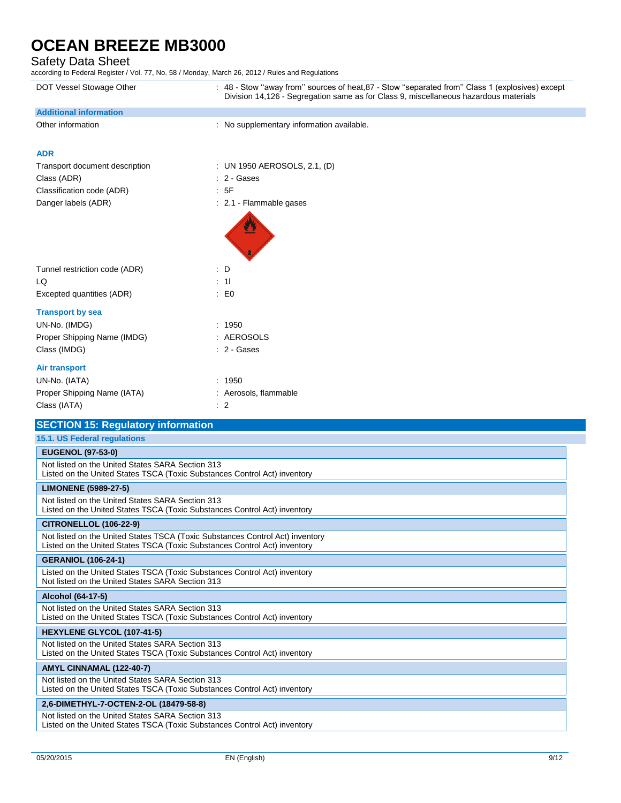# Safety Data Sheet<br>according to Federal Register / \

according to Federal Register / Vol. 77, No. 58 / Monday, March 26, 2012 / Rules and Regulations

| DOT Vessel Stowage Other                                                                                                                                   | : 48 - Stow "away from" sources of heat, 87 - Stow "separated from" Class 1 (explosives) except<br>Division 14,126 - Segregation same as for Class 9, miscellaneous hazardous materials |  |  |
|------------------------------------------------------------------------------------------------------------------------------------------------------------|-----------------------------------------------------------------------------------------------------------------------------------------------------------------------------------------|--|--|
| <b>Additional information</b>                                                                                                                              |                                                                                                                                                                                         |  |  |
| Other information                                                                                                                                          | : No supplementary information available.                                                                                                                                               |  |  |
| <b>ADR</b>                                                                                                                                                 |                                                                                                                                                                                         |  |  |
| Transport document description                                                                                                                             | : UN 1950 AEROSOLS, 2.1, (D)                                                                                                                                                            |  |  |
| Class (ADR)                                                                                                                                                | : 2 - Gases                                                                                                                                                                             |  |  |
| Classification code (ADR)                                                                                                                                  | : 5F                                                                                                                                                                                    |  |  |
| Danger labels (ADR)                                                                                                                                        | : 2.1 - Flammable gases                                                                                                                                                                 |  |  |
|                                                                                                                                                            |                                                                                                                                                                                         |  |  |
| Tunnel restriction code (ADR)                                                                                                                              | $\therefore$ D                                                                                                                                                                          |  |  |
| LQ                                                                                                                                                         | : 11                                                                                                                                                                                    |  |  |
| Excepted quantities (ADR)                                                                                                                                  | $\mathbf{E}$ EO                                                                                                                                                                         |  |  |
| <b>Transport by sea</b>                                                                                                                                    |                                                                                                                                                                                         |  |  |
| UN-No. (IMDG)                                                                                                                                              | : 1950                                                                                                                                                                                  |  |  |
| Proper Shipping Name (IMDG)                                                                                                                                | : AEROSOLS                                                                                                                                                                              |  |  |
| Class (IMDG)                                                                                                                                               | : 2 - Gases                                                                                                                                                                             |  |  |
| <b>Air transport</b>                                                                                                                                       |                                                                                                                                                                                         |  |  |
| UN-No. (IATA)                                                                                                                                              | : 1950                                                                                                                                                                                  |  |  |
| Proper Shipping Name (IATA)                                                                                                                                | : Aerosols, flammable                                                                                                                                                                   |  |  |
| Class (IATA)                                                                                                                                               | $\therefore$ 2                                                                                                                                                                          |  |  |
| <b>SECTION 15: Regulatory information</b>                                                                                                                  |                                                                                                                                                                                         |  |  |
| 15.1. US Federal regulations                                                                                                                               |                                                                                                                                                                                         |  |  |
| <b>EUGENOL (97-53-0)</b>                                                                                                                                   |                                                                                                                                                                                         |  |  |
| Not listed on the United States SARA Section 313<br>Listed on the United States TSCA (Toxic Substances Control Act) inventory                              |                                                                                                                                                                                         |  |  |
| <b>LIMONENE (5989-27-5)</b>                                                                                                                                |                                                                                                                                                                                         |  |  |
| Not listed on the United States SARA Section 313<br>Listed on the United States TSCA (Toxic Substances Control Act) inventory                              |                                                                                                                                                                                         |  |  |
| <b>CITRONELLOL (106-22-9)</b>                                                                                                                              |                                                                                                                                                                                         |  |  |
| Not listed on the United States TSCA (Toxic Substances Control Act) inventory<br>Listed on the United States TSCA (Toxic Substances Control Act) inventory |                                                                                                                                                                                         |  |  |
| <b>GERANIOL (106-24-1)</b>                                                                                                                                 |                                                                                                                                                                                         |  |  |
| Listed on the United States TSCA (Toxic Substances Control Act) inventory<br>Not listed on the United States SARA Section 313                              |                                                                                                                                                                                         |  |  |
| Alcohol (64-17-5)                                                                                                                                          |                                                                                                                                                                                         |  |  |
| Not listed on the United States SARA Section 313<br>Listed on the United States TSCA (Toxic Substances Control Act) inventory                              |                                                                                                                                                                                         |  |  |
| HEXYLENE GLYCOL (107-41-5)                                                                                                                                 |                                                                                                                                                                                         |  |  |
| Not listed on the United States SARA Section 313<br>Listed on the United States TSCA (Toxic Substances Control Act) inventory                              |                                                                                                                                                                                         |  |  |
| AMYL CINNAMAL (122-40-7)                                                                                                                                   |                                                                                                                                                                                         |  |  |
| Not listed on the United States SARA Section 313                                                                                                           | Listed on the United States TSCA (Toxic Substances Control Act) inventory                                                                                                               |  |  |

#### **2,6-DIMETHYL-7-OCTEN-2-OL (18479-58-8)**

Not listed on the United States SARA Section 313 Listed on the United States TSCA (Toxic Substances Control Act) inventory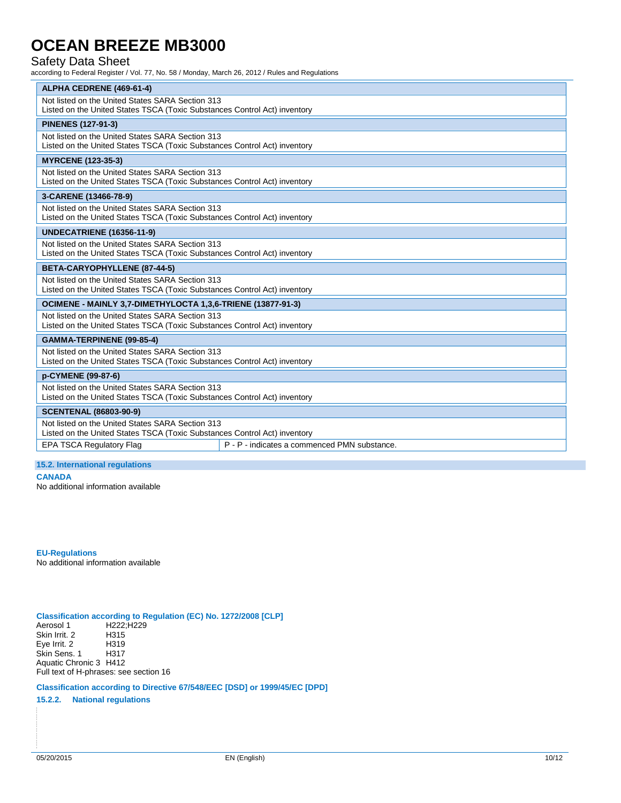### Safety Data Sheet

according to Federal Register / Vol. 77, No. 58 / Monday, March 26, 2012 / Rules and Regulations

| ALPHA CEDRENE (469-61-4)                                                  |                                              |  |  |  |
|---------------------------------------------------------------------------|----------------------------------------------|--|--|--|
| Not listed on the United States SARA Section 313                          |                                              |  |  |  |
| Listed on the United States TSCA (Toxic Substances Control Act) inventory |                                              |  |  |  |
| <b>PINENES (127-91-3)</b>                                                 |                                              |  |  |  |
| Not listed on the United States SARA Section 313                          |                                              |  |  |  |
| Listed on the United States TSCA (Toxic Substances Control Act) inventory |                                              |  |  |  |
| <b>MYRCENE (123-35-3)</b>                                                 |                                              |  |  |  |
| Not listed on the United States SARA Section 313                          |                                              |  |  |  |
| Listed on the United States TSCA (Toxic Substances Control Act) inventory |                                              |  |  |  |
| 3-CARENE (13466-78-9)                                                     |                                              |  |  |  |
| Not listed on the United States SARA Section 313                          |                                              |  |  |  |
| Listed on the United States TSCA (Toxic Substances Control Act) inventory |                                              |  |  |  |
| <b>UNDECATRIENE (16356-11-9)</b>                                          |                                              |  |  |  |
| Not listed on the United States SARA Section 313                          |                                              |  |  |  |
| Listed on the United States TSCA (Toxic Substances Control Act) inventory |                                              |  |  |  |
| BETA-CARYOPHYLLENE (87-44-5)                                              |                                              |  |  |  |
| Not listed on the United States SARA Section 313                          |                                              |  |  |  |
| Listed on the United States TSCA (Toxic Substances Control Act) inventory |                                              |  |  |  |
| OCIMENE - MAINLY 3,7-DIMETHYLOCTA 1,3,6-TRIENE (13877-91-3)               |                                              |  |  |  |
| Not listed on the United States SARA Section 313                          |                                              |  |  |  |
| Listed on the United States TSCA (Toxic Substances Control Act) inventory |                                              |  |  |  |
| GAMMA-TERPINENE (99-85-4)                                                 |                                              |  |  |  |
| Not listed on the United States SARA Section 313                          |                                              |  |  |  |
| Listed on the United States TSCA (Toxic Substances Control Act) inventory |                                              |  |  |  |
| p-CYMENE (99-87-6)                                                        |                                              |  |  |  |
| Not listed on the United States SARA Section 313                          |                                              |  |  |  |
| Listed on the United States TSCA (Toxic Substances Control Act) inventory |                                              |  |  |  |
| <b>SCENTENAL (86803-90-9)</b>                                             |                                              |  |  |  |
| Not listed on the United States SARA Section 313                          |                                              |  |  |  |
| Listed on the United States TSCA (Toxic Substances Control Act) inventory |                                              |  |  |  |
| <b>EPA TSCA Regulatory Flag</b>                                           | P - P - indicates a commenced PMN substance. |  |  |  |

#### **15.2. International regulations**

**CANADA**

No additional information available

**EU-Regulations** No additional information available

#### **Classification according to Regulation (EC) No. 1272/2008 [CLP]**

Aerosol 1 H222;H229 Skin Irrit. 2 H315 Eye Irrit. 2 H319<br>Skin Sens. 1 H317 Skin Sens. 1 Aquatic Chronic 3 H412

Full text of H-phrases: see section 16

**Classification according to Directive 67/548/EEC [DSD] or 1999/45/EC [DPD]**

**15.2.2. National regulations**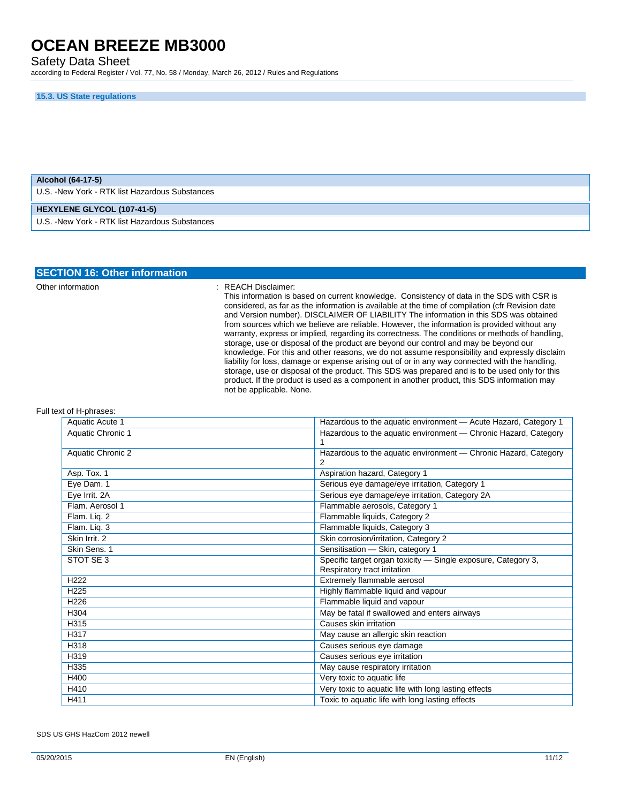Safety Data Sheet

according to Federal Register / Vol. 77, No. 58 / Monday, March 26, 2012 / Rules and Regulations

#### **15.3. US State regulations**

| Alcohol (64-17-5)                               |  |  |
|-------------------------------------------------|--|--|
| U.S. - New York - RTK list Hazardous Substances |  |  |
|                                                 |  |  |
| <b>HEXYLENE GLYCOL (107-41-5)</b>               |  |  |

| <b>SECTION 16: Other information</b> |                                                                                                                                                                                                                                                                                                                                                                                                                                                                                                                                                                                                                                                                                                                                                                                                                                                                                                                                                                                                                                          |
|--------------------------------------|------------------------------------------------------------------------------------------------------------------------------------------------------------------------------------------------------------------------------------------------------------------------------------------------------------------------------------------------------------------------------------------------------------------------------------------------------------------------------------------------------------------------------------------------------------------------------------------------------------------------------------------------------------------------------------------------------------------------------------------------------------------------------------------------------------------------------------------------------------------------------------------------------------------------------------------------------------------------------------------------------------------------------------------|
| Other information                    | REACH Disclaimer:<br>This information is based on current knowledge. Consistency of data in the SDS with CSR is<br>considered, as far as the information is available at the time of compilation (cfr Revision date<br>and Version number). DISCLAIMER OF LIABILITY The information in this SDS was obtained<br>from sources which we believe are reliable. However, the information is provided without any<br>warranty, express or implied, regarding its correctness. The conditions or methods of handling,<br>storage, use or disposal of the product are beyond our control and may be beyond our<br>knowledge. For this and other reasons, we do not assume responsibility and expressly disclaim<br>liability for loss, damage or expense arising out of or in any way connected with the handling,<br>storage, use or disposal of the product. This SDS was prepared and is to be used only for this<br>product. If the product is used as a component in another product, this SDS information may<br>not be applicable. None. |

#### Full text of H-phrases:

| Aquatic Acute 1   | Hazardous to the aquatic environment - Acute Hazard, Category 1                               |
|-------------------|-----------------------------------------------------------------------------------------------|
| Aquatic Chronic 1 | Hazardous to the aquatic environment - Chronic Hazard, Category                               |
| Aquatic Chronic 2 | Hazardous to the aquatic environment - Chronic Hazard, Category                               |
| Asp. Tox. 1       | Aspiration hazard, Category 1                                                                 |
| Eye Dam. 1        | Serious eye damage/eye irritation, Category 1                                                 |
| Eye Irrit. 2A     | Serious eye damage/eye irritation, Category 2A                                                |
| Flam. Aerosol 1   | Flammable aerosols, Category 1                                                                |
| Flam. Liq. 2      | Flammable liquids, Category 2                                                                 |
| Flam. Lig. 3      | Flammable liquids, Category 3                                                                 |
| Skin Irrit. 2     | Skin corrosion/irritation, Category 2                                                         |
| Skin Sens. 1      | Sensitisation - Skin, category 1                                                              |
| STOT SE 3         | Specific target organ toxicity - Single exposure, Category 3,<br>Respiratory tract irritation |
| H <sub>222</sub>  | Extremely flammable aerosol                                                                   |
| H <sub>225</sub>  | Highly flammable liquid and vapour                                                            |
| H <sub>226</sub>  | Flammable liquid and vapour                                                                   |
| H304              | May be fatal if swallowed and enters airways                                                  |
| H315              | Causes skin irritation                                                                        |
| H317              | May cause an allergic skin reaction                                                           |
| H318              | Causes serious eye damage                                                                     |
| H319              | Causes serious eye irritation                                                                 |
| H335              | May cause respiratory irritation                                                              |
| H400              | Very toxic to aquatic life                                                                    |
| H410              | Very toxic to aquatic life with long lasting effects                                          |
| H411              | Toxic to aquatic life with long lasting effects                                               |

SDS US GHS HazCom 2012 newell